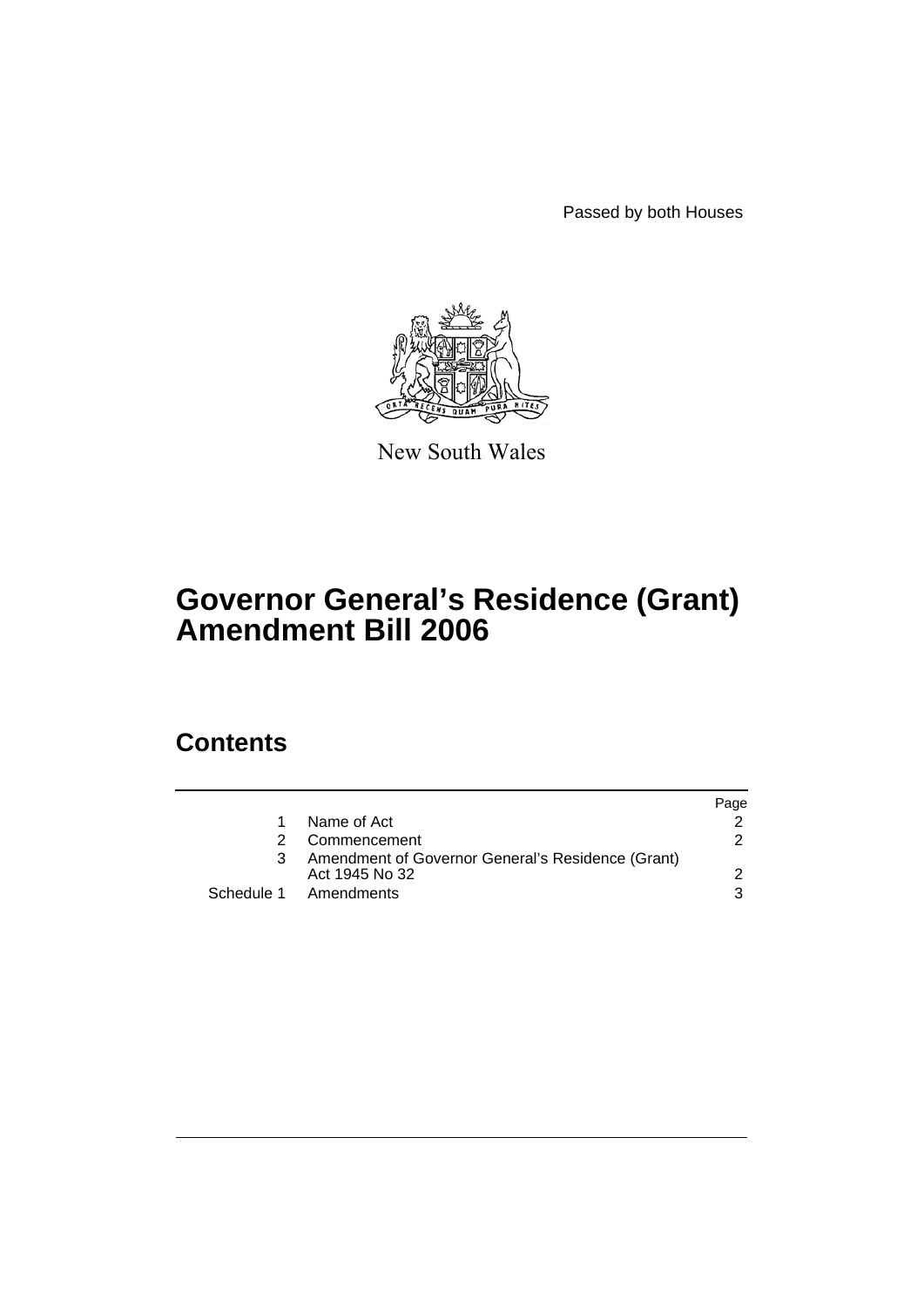Passed by both Houses



New South Wales

# **Governor General's Residence (Grant) Amendment Bill 2006**

## **Contents**

|               |                                                                     | Page |
|---------------|---------------------------------------------------------------------|------|
|               | Name of Act                                                         |      |
| $\mathcal{P}$ | Commencement                                                        | 2    |
| 3             | Amendment of Governor General's Residence (Grant)<br>Act 1945 No 32 |      |
|               | Schedule 1 Amendments                                               | 3    |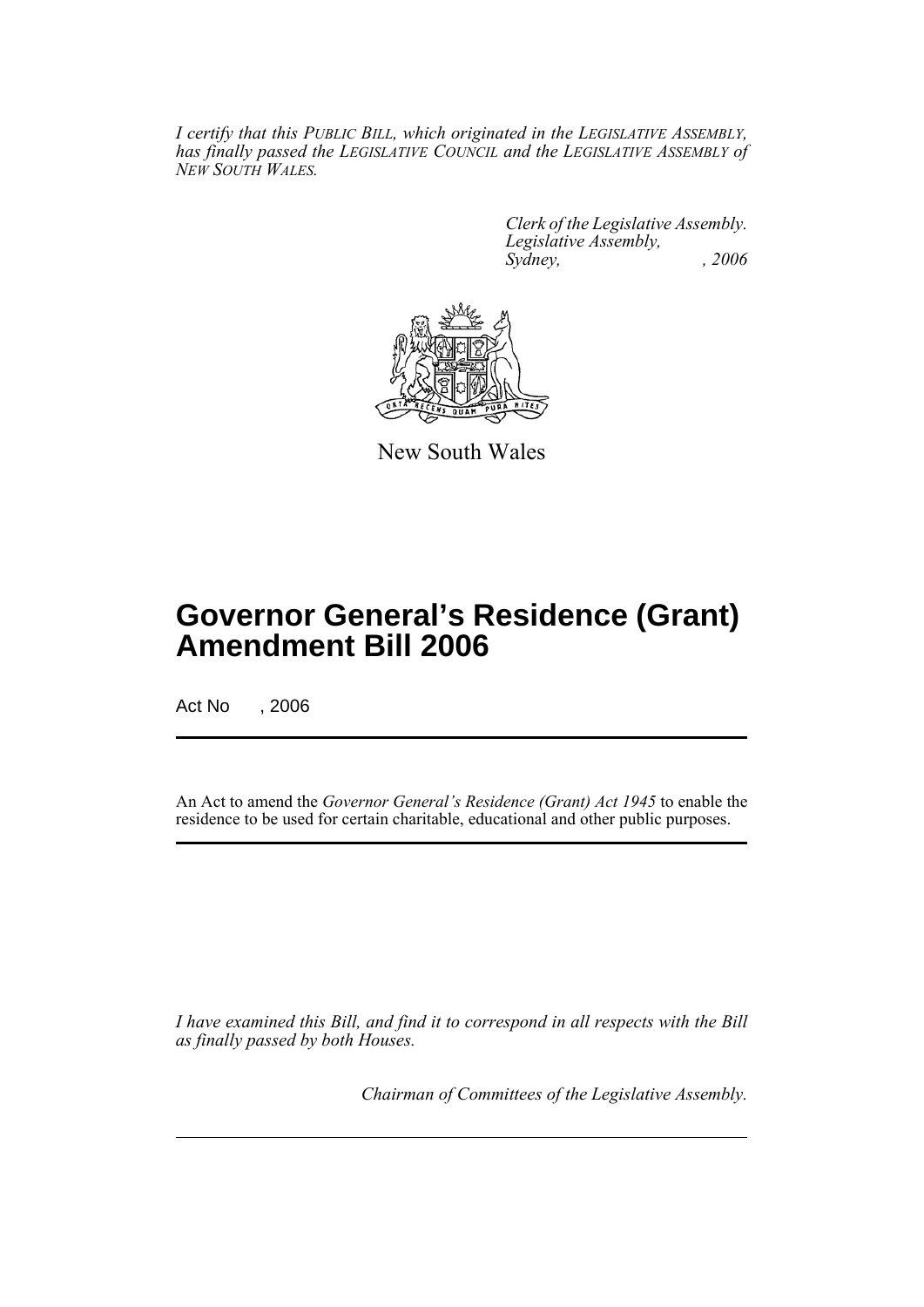*I certify that this PUBLIC BILL, which originated in the LEGISLATIVE ASSEMBLY, has finally passed the LEGISLATIVE COUNCIL and the LEGISLATIVE ASSEMBLY of NEW SOUTH WALES.*

> *Clerk of the Legislative Assembly. Legislative Assembly, Sydney, , 2006*



New South Wales

## **Governor General's Residence (Grant) Amendment Bill 2006**

Act No , 2006

An Act to amend the *Governor General's Residence (Grant) Act 1945* to enable the residence to be used for certain charitable, educational and other public purposes.

*I have examined this Bill, and find it to correspond in all respects with the Bill as finally passed by both Houses.*

*Chairman of Committees of the Legislative Assembly.*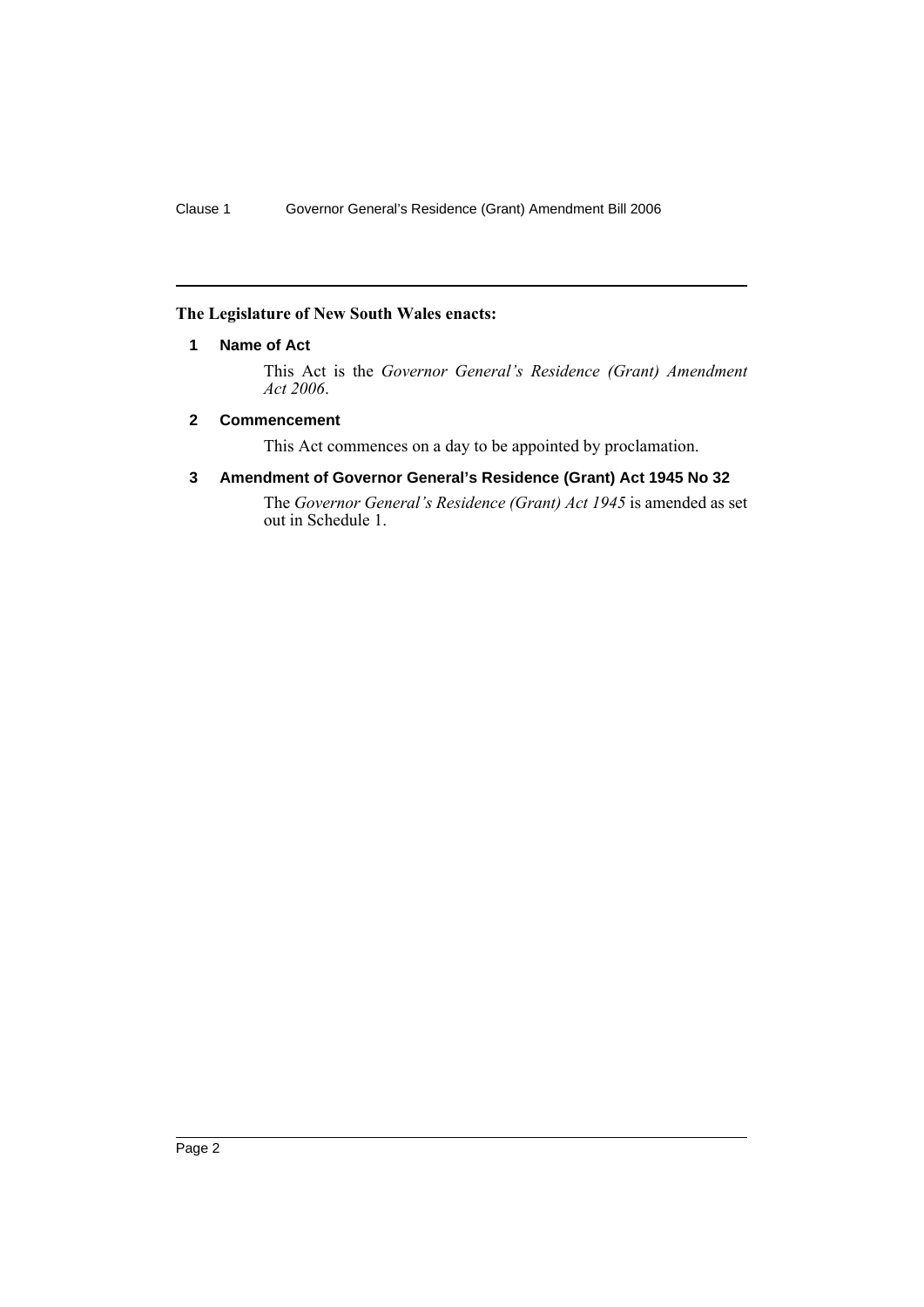## **The Legislature of New South Wales enacts:**

## **1 Name of Act**

This Act is the *Governor General's Residence (Grant) Amendment Act 2006*.

## **2 Commencement**

This Act commences on a day to be appointed by proclamation.

## **3 Amendment of Governor General's Residence (Grant) Act 1945 No 32**

The *Governor General's Residence (Grant) Act 1945* is amended as set out in Schedule 1.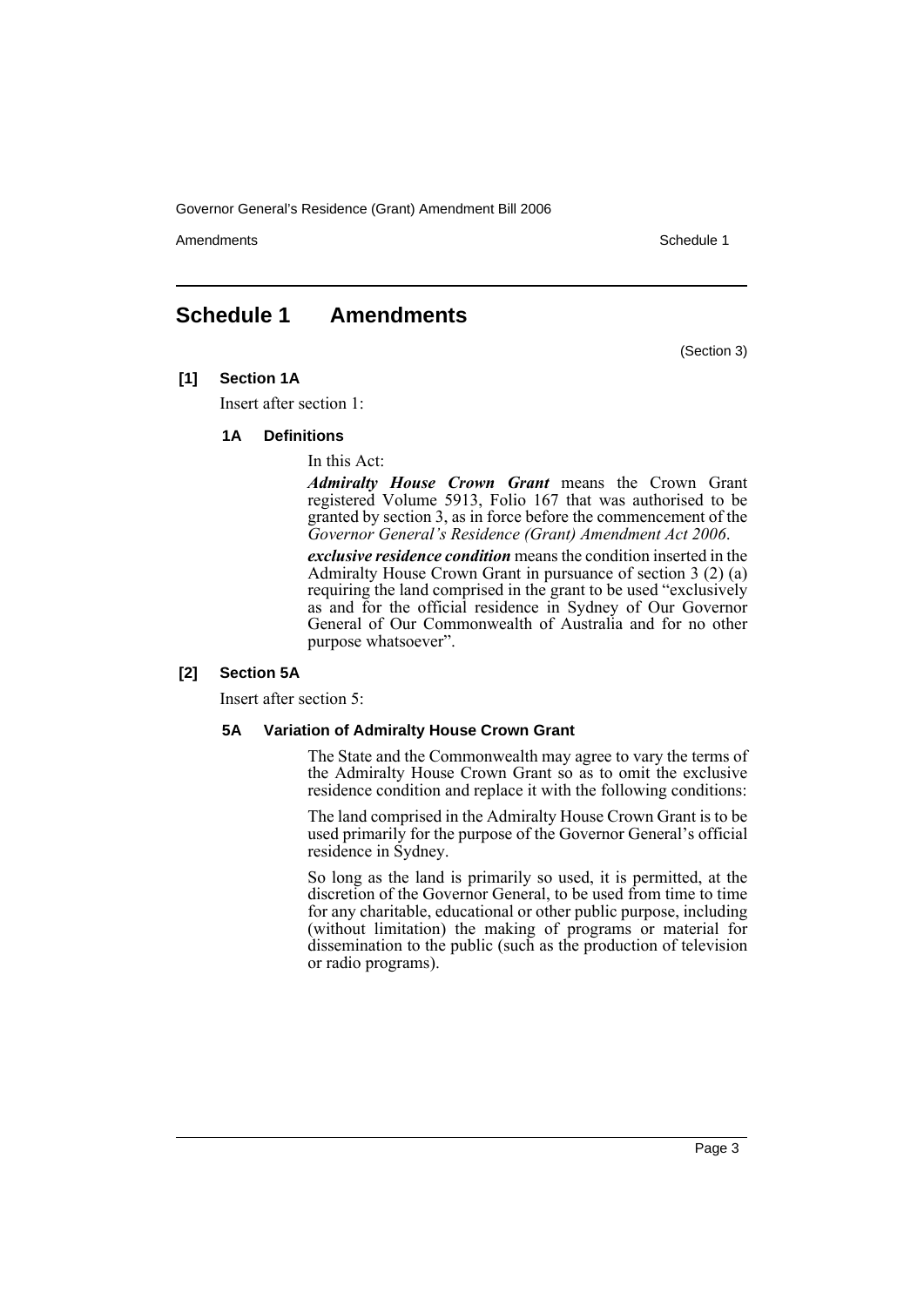Governor General's Residence (Grant) Amendment Bill 2006

Amendments **Amendments** Schedule 1

(Section 3)

## **Schedule 1 Amendments**

**[1] Section 1A**

Insert after section 1:

#### **1A Definitions**

In this Act:

*Admiralty House Crown Grant* means the Crown Grant registered Volume 5913, Folio 167 that was authorised to be granted by section 3, as in force before the commencement of the *Governor General's Residence (Grant) Amendment Act 2006*.

*exclusive residence condition* means the condition inserted in the Admiralty House Crown Grant in pursuance of section 3 (2) (a) requiring the land comprised in the grant to be used "exclusively as and for the official residence in Sydney of Our Governor General of Our Commonwealth of Australia and for no other purpose whatsoever".

#### **[2] Section 5A**

Insert after section 5:

### **5A Variation of Admiralty House Crown Grant**

The State and the Commonwealth may agree to vary the terms of the Admiralty House Crown Grant so as to omit the exclusive residence condition and replace it with the following conditions:

The land comprised in the Admiralty House Crown Grant is to be used primarily for the purpose of the Governor General's official residence in Sydney.

So long as the land is primarily so used, it is permitted, at the discretion of the Governor General, to be used from time to time for any charitable, educational or other public purpose, including (without limitation) the making of programs or material for dissemination to the public (such as the production of television or radio programs).